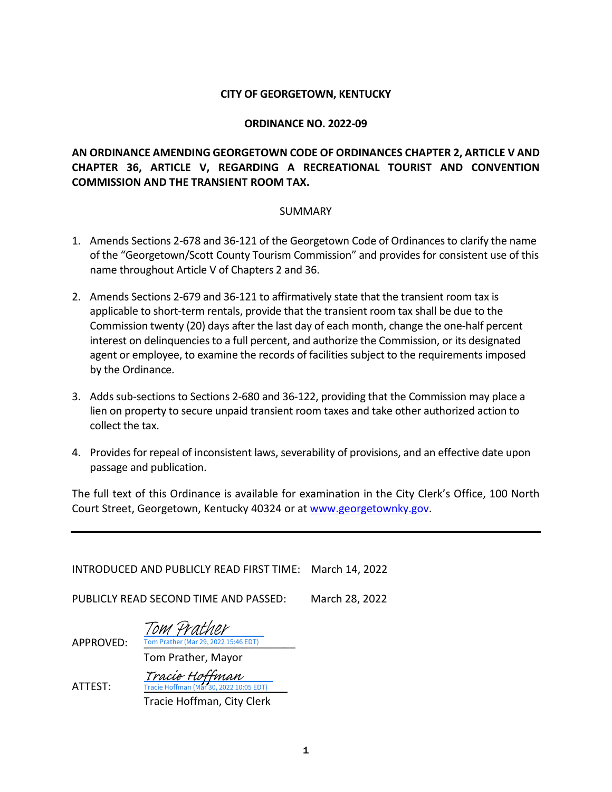#### **CITY OF GEORGETOWN, KENTUCKY**

#### **ORDINANCE NO. 2022-09**

# **AN ORDINANCE AMENDING GEORGETOWN CODE OF ORDINANCES CHAPTER 2, ARTICLE V AND CHAPTER 36, ARTICLE V, REGARDING A RECREATIONAL TOURIST AND CONVENTION COMMISSION AND THE TRANSIENT ROOM TAX.**

#### SUMMARY

- 1. Amends Sections 2-678 and 36-121 of the Georgetown Code of Ordinances to clarify the name of the "Georgetown/Scott County Tourism Commission" and provides for consistent use of this name throughout Article V of Chapters 2 and 36.
- 2. Amends Sections 2-679 and 36-121 to affirmatively state that the transient room tax is applicable to short-term rentals, provide that the transient room tax shall be due to the Commission twenty (20) days after the last day of each month, change the one-half percent interest on delinquencies to a full percent, and authorize the Commission, or its designated agent or employee, to examine the records of facilities subject to the requirements imposed by the Ordinance.
- 3. Adds sub-sections to Sections 2-680 and 36-122, providing that the Commission may place a lien on property to secure unpaid transient room taxes and take other authorized action to collect the tax.
- 4. Provides for repeal of inconsistent laws, severability of provisions, and an effective date upon passage and publication.

The full text of this Ordinance is available for examination in the City Clerk's Office, 100 North Court Street, Georgetown, Kentucky 40324 or at [www.georgetownky.gov.](http://www.georgetownky.gov/)

| INTRODUCED AND PUBLICLY READ FIRST TIME: March 14, 2022 |                                                                                                |  |  |  |
|---------------------------------------------------------|------------------------------------------------------------------------------------------------|--|--|--|
| March 28, 2022<br>PUBLICLY READ SECOND TIME AND PASSED: |                                                                                                |  |  |  |
| APPROVED:                                               | Tom Prather<br>Tom Prather (Mar 29, 2022 15:46 EDT)<br>Tom Prather, Mayor                      |  |  |  |
| ATTEST:                                                 | <i>Tracie Hoffman</i><br>Tracie Hoffman (Mar 30, 2022 10:05 EDT)<br>Tracie Hoffman, City Clerk |  |  |  |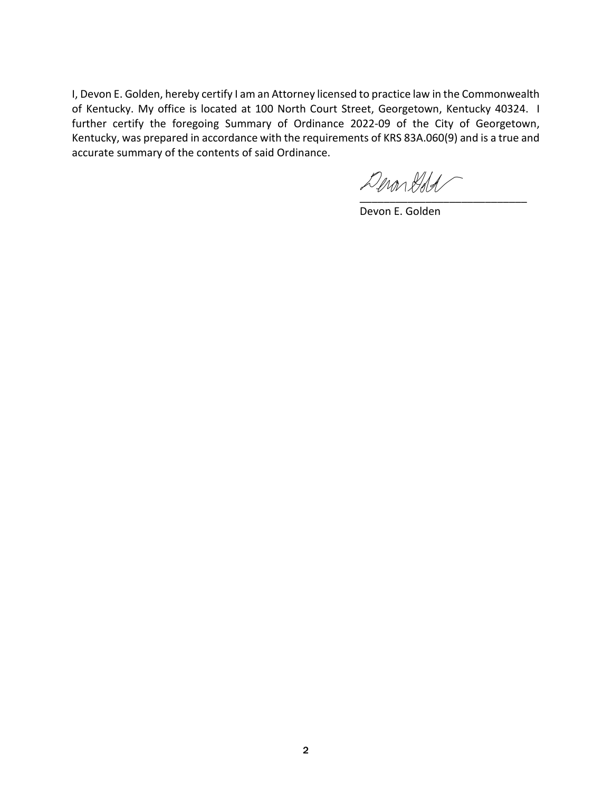I, Devon E. Golden, hereby certify I am an Attorney licensed to practice law in the Commonwealth of Kentucky. My office is located at 100 North Court Street, Georgetown, Kentucky 40324. I further certify the foregoing Summary of Ordinance 2022-09 of the City of Georgetown, Kentucky, was prepared in accordance with the requirements of KRS 83A.060(9) and is a true and accurate summary of the contents of said Ordinance.

 $\mathcal{D}$ eron Dold

Devon E. Golden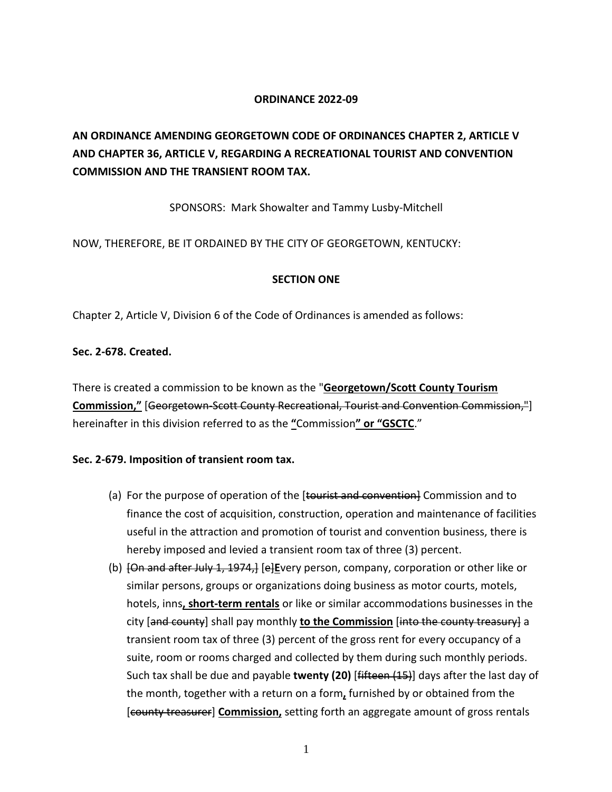# **ORDINANCE 2022-09**

# **AN ORDINANCE AMENDING GEORGETOWN CODE OF ORDINANCES CHAPTER 2, ARTICLE V AND CHAPTER 36, ARTICLE V, REGARDING A RECREATIONAL TOURIST AND CONVENTION COMMISSION AND THE TRANSIENT ROOM TAX.**

SPONSORS: Mark Showalter and Tammy Lusby-Mitchell

NOW, THEREFORE, BE IT ORDAINED BY THE CITY OF GEORGETOWN, KENTUCKY:

# **SECTION ONE**

Chapter 2, Article V, Division 6 of the Code of Ordinances is amended as follows:

# **Sec. 2-678. Created.**

There is created a commission to be known as the "**Georgetown/Scott County Tourism Commission,"** [Georgetown-Scott County Recreational, Tourist and Convention Commission,"] hereinafter in this division referred to as the **"**Commission**" or "GSCTC**."

# **Sec. 2-679. Imposition of transient room tax.**

- (a) For the purpose of operation of the [tourist and convention] Commission and to finance the cost of acquisition, construction, operation and maintenance of facilities useful in the attraction and promotion of tourist and convention business, there is hereby imposed and levied a transient room tax of three (3) percent.
- (b) [On and after July 1, 1974,] [e]**E**very person, company, corporation or other like or similar persons, groups or organizations doing business as motor courts, motels, hotels, inns**, short-term rentals** or like or similar accommodations businesses in the city [and county] shall pay monthly **to the Commission** [into the county treasury] a transient room tax of three (3) percent of the gross rent for every occupancy of a suite, room or rooms charged and collected by them during such monthly periods. Such tax shall be due and payable **twenty (20)** [fifteen (15)] days after the last day of the month, together with a return on a form**,** furnished by or obtained from the [county treasurer] **Commission,** setting forth an aggregate amount of gross rentals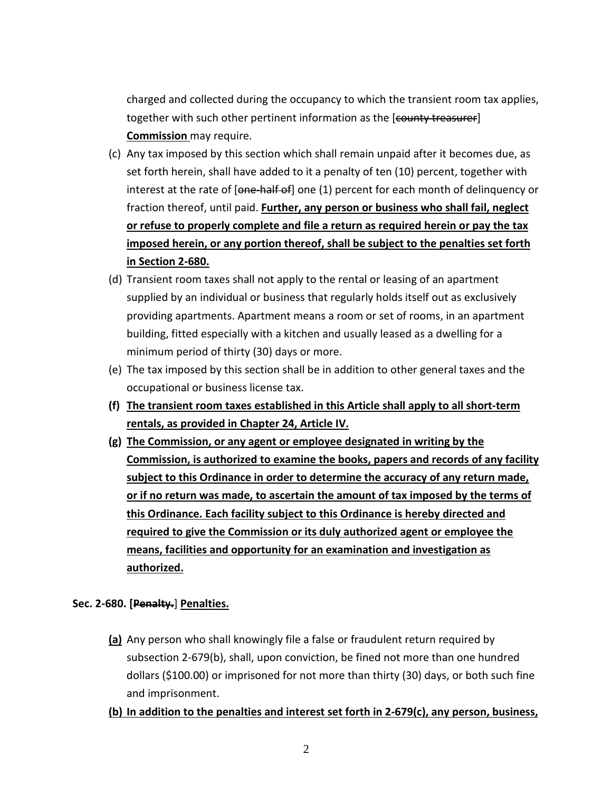charged and collected during the occupancy to which the transient room tax applies, together with such other pertinent information as the [county treasurer] **Commission** may require.

- (c) Any tax imposed by this section which shall remain unpaid after it becomes due, as set forth herein, shall have added to it a penalty of ten (10) percent, together with interest at the rate of [one half of] one (1) percent for each month of delinquency or fraction thereof, until paid. **Further, any person or business who shall fail, neglect or refuse to properly complete and file a return as required herein or pay the tax imposed herein, or any portion thereof, shall be subject to the penalties set forth in Section 2-680.**
- (d) Transient room taxes shall not apply to the rental or leasing of an apartment supplied by an individual or business that regularly holds itself out as exclusively providing apartments. Apartment means a room or set of rooms, in an apartment building, fitted especially with a kitchen and usually leased as a dwelling for a minimum period of thirty (30) days or more.
- (e) The tax imposed by this section shall be in addition to other general taxes and the occupational or business license tax.
- **(f) The transient room taxes established in this Article shall apply to all short-term rentals, as provided in Chapter 24, Article IV.**
- **(g) The Commission, or any agent or employee designated in writing by the Commission, is authorized to examine the books, papers and records of any facility subject to this Ordinance in order to determine the accuracy of any return made, or if no return was made, to ascertain the amount of tax imposed by the terms of this Ordinance. Each facility subject to this Ordinance is hereby directed and required to give the Commission or its duly authorized agent or employee the means, facilities and opportunity for an examination and investigation as authorized.**

# **Sec. 2-680. [Penalty.**] **Penalties.**

**(a)** Any person who shall knowingly file a false or fraudulent return required by subsection 2-679(b), shall, upon conviction, be fined not more than one hundred dollars (\$100.00) or imprisoned for not more than thirty (30) days, or both such fine and imprisonment.

# **(b) In addition to the penalties and interest set forth in 2-679(c), any person, business,**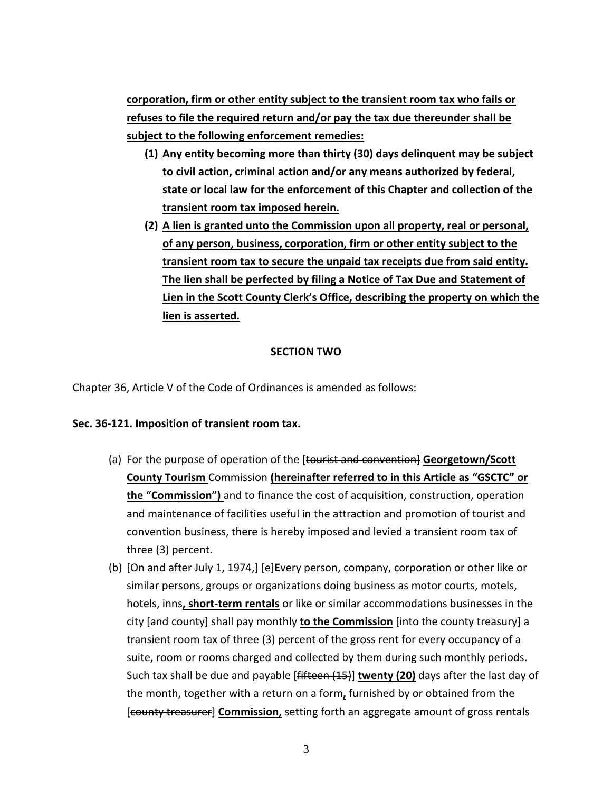**corporation, firm or other entity subject to the transient room tax who fails or refuses to file the required return and/or pay the tax due thereunder shall be subject to the following enforcement remedies:**

- **(1) Any entity becoming more than thirty (30) days delinquent may be subject to civil action, criminal action and/or any means authorized by federal, state or local law for the enforcement of this Chapter and collection of the transient room tax imposed herein.**
- **(2) A lien is granted unto the Commission upon all property, real or personal, of any person, business, corporation, firm or other entity subject to the transient room tax to secure the unpaid tax receipts due from said entity. The lien shall be perfected by filing a Notice of Tax Due and Statement of Lien in the Scott County Clerk's Office, describing the property on which the lien is asserted.**

# **SECTION TWO**

Chapter 36, Article V of the Code of Ordinances is amended as follows:

# **Sec. 36-121. Imposition of transient room tax.**

- (a) For the purpose of operation of the [tourist and convention] **Georgetown/Scott County Tourism** Commission **(hereinafter referred to in this Article as "GSCTC" or the "Commission")** and to finance the cost of acquisition, construction, operation and maintenance of facilities useful in the attraction and promotion of tourist and convention business, there is hereby imposed and levied a transient room tax of three (3) percent.
- (b) [On and after July 1, 1974,] [e]**E**very person, company, corporation or other like or similar persons, groups or organizations doing business as motor courts, motels, hotels, inns**, short-term rentals** or like or similar accommodations businesses in the city [and county] shall pay monthly **to the Commission** [into the county treasury] a transient room tax of three (3) percent of the gross rent for every occupancy of a suite, room or rooms charged and collected by them during such monthly periods. Such tax shall be due and payable [fifteen (15)] **twenty (20)** days after the last day of the month, together with a return on a form**,** furnished by or obtained from the [county treasurer] **Commission,** setting forth an aggregate amount of gross rentals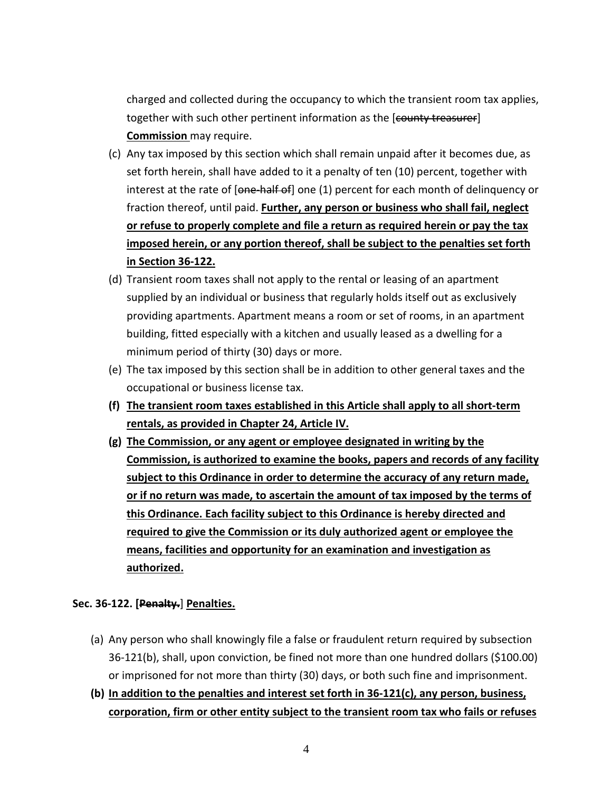charged and collected during the occupancy to which the transient room tax applies, together with such other pertinent information as the [county treasurer] **Commission** may require.

- (c) Any tax imposed by this section which shall remain unpaid after it becomes due, as set forth herein, shall have added to it a penalty of ten (10) percent, together with interest at the rate of [one half of] one (1) percent for each month of delinquency or fraction thereof, until paid. **Further, any person or business who shall fail, neglect or refuse to properly complete and file a return as required herein or pay the tax imposed herein, or any portion thereof, shall be subject to the penalties set forth in Section 36-122.**
- (d) Transient room taxes shall not apply to the rental or leasing of an apartment supplied by an individual or business that regularly holds itself out as exclusively providing apartments. Apartment means a room or set of rooms, in an apartment building, fitted especially with a kitchen and usually leased as a dwelling for a minimum period of thirty (30) days or more.
- (e) The tax imposed by this section shall be in addition to other general taxes and the occupational or business license tax.
- **(f) The transient room taxes established in this Article shall apply to all short-term rentals, as provided in Chapter 24, Article IV.**
- **(g) The Commission, or any agent or employee designated in writing by the Commission, is authorized to examine the books, papers and records of any facility subject to this Ordinance in order to determine the accuracy of any return made, or if no return was made, to ascertain the amount of tax imposed by the terms of this Ordinance. Each facility subject to this Ordinance is hereby directed and required to give the Commission or its duly authorized agent or employee the means, facilities and opportunity for an examination and investigation as authorized.**

# **Sec. 36-122. [Penalty.**] **Penalties.**

- (a) Any person who shall knowingly file a false or fraudulent return required by subsection 36-121(b), shall, upon conviction, be fined not more than one hundred dollars (\$100.00) or imprisoned for not more than thirty (30) days, or both such fine and imprisonment.
- **(b) In addition to the penalties and interest set forth in 36-121(c), any person, business, corporation, firm or other entity subject to the transient room tax who fails or refuses**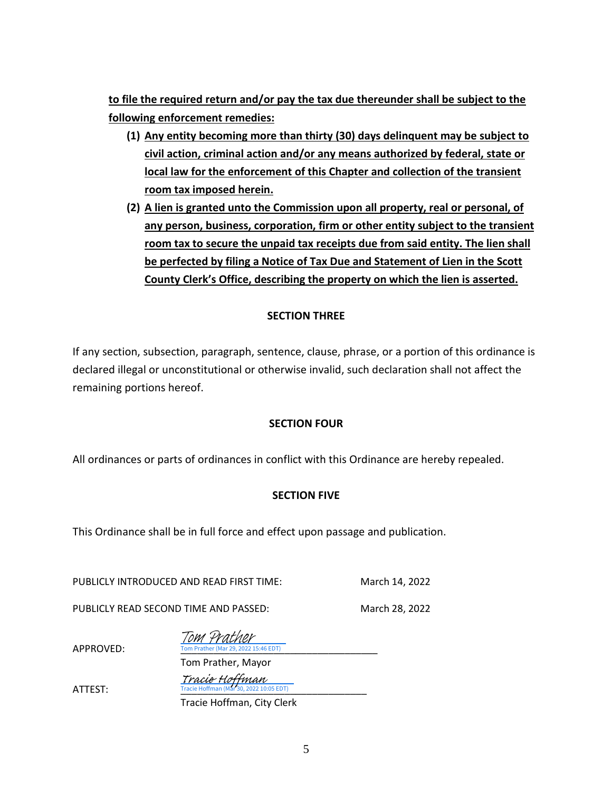**to file the required return and/or pay the tax due thereunder shall be subject to the following enforcement remedies:**

- **(1) Any entity becoming more than thirty (30) days delinquent may be subject to civil action, criminal action and/or any means authorized by federal, state or local law for the enforcement of this Chapter and collection of the transient room tax imposed herein.**
- **(2) A lien is granted unto the Commission upon all property, real or personal, of any person, business, corporation, firm or other entity subject to the transient room tax to secure the unpaid tax receipts due from said entity. The lien shall be perfected by filing a Notice of Tax Due and Statement of Lien in the Scott County Clerk's Office, describing the property on which the lien is asserted.**

# **SECTION THREE**

If any section, subsection, paragraph, sentence, clause, phrase, or a portion of this ordinance is declared illegal or unconstitutional or otherwise invalid, such declaration shall not affect the remaining portions hereof.

# **SECTION FOUR**

All ordinances or parts of ordinances in conflict with this Ordinance are hereby repealed.

# **SECTION FIVE**

This Ordinance shall be in full force and effect upon passage and publication.

PUBLICLY INTRODUCED AND READ FIRST TIME: March 14, 2022

PUBLICLY READ SECOND TIME AND PASSED: March 28, 2022

| Tom Prather                          |
|--------------------------------------|
| Tom Prather (Mar 29, 2022 15:46 EDT) |

Tom Prather, Mayor

Tracie Hoffman<br>ATTEST: Tracie Hoffman (Mar 30, 2022 10:05 EDT)

APPROVED:

Tracie Hoffman, City Clerk